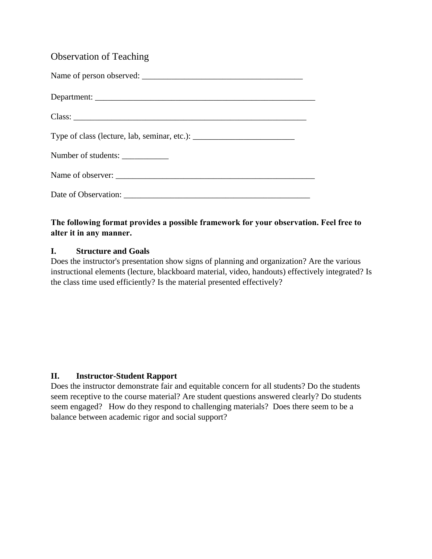# Observation of Teaching

| Number of students: ______________ |
|------------------------------------|
|                                    |
|                                    |

# **The following format provides a possible framework for your observation. Feel free to alter it in any manner.**

### **I. Structure and Goals**

Does the instructor's presentation show signs of planning and organization? Are the various instructional elements (lecture, blackboard material, video, handouts) effectively integrated? Is the class time used efficiently? Is the material presented effectively?

## **II. Instructor-Student Rapport**

Does the instructor demonstrate fair and equitable concern for all students? Do the students seem receptive to the course material? Are student questions answered clearly? Do students seem engaged? How do they respond to challenging materials? Does there seem to be a balance between academic rigor and social support?